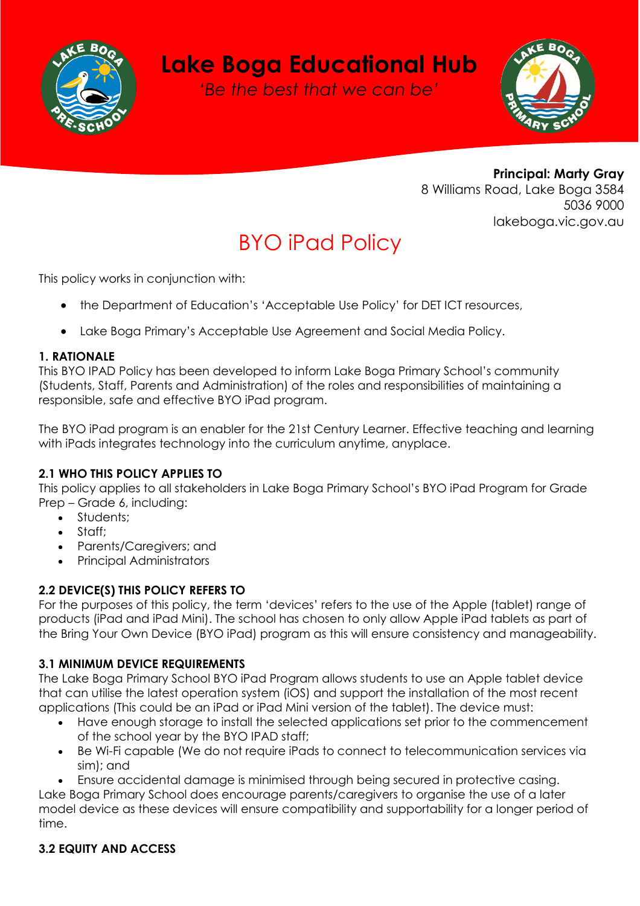

# **Lake Boga Educational Hub**

*'Be the best that we can be'*



**Principal: Marty Gray** 8 Williams Road, Lake Boga 3584 5036 9000 lakeboga.vic.gov.au

# BYO iPad Policy

This policy works in conjunction with:

- the Department of Education's 'Acceptable Use Policy' for DET ICT resources,
- Lake Boga Primary's Acceptable Use Agreement and Social Media Policy.

#### **1. RATIONALE**

This BYO IPAD Policy has been developed to inform Lake Boga Primary School's community (Students, Staff, Parents and Administration) of the roles and responsibilities of maintaining a responsible, safe and effective BYO iPad program.

The BYO iPad program is an enabler for the 21st Century Learner. Effective teaching and learning with iPads integrates technology into the curriculum anytime, anyplace.

#### **2.1 WHO THIS POLICY APPLIES TO**

This policy applies to all stakeholders in Lake Boga Primary School's BYO iPad Program for Grade Prep – Grade 6, including:

- Students;
- Staff;
- Parents/Caregivers; and
- Principal Administrators

#### **2.2 DEVICE(S) THIS POLICY REFERS TO**

For the purposes of this policy, the term 'devices' refers to the use of the Apple (tablet) range of products (iPad and iPad Mini). The school has chosen to only allow Apple iPad tablets as part of the Bring Your Own Device (BYO iPad) program as this will ensure consistency and manageability.

#### **3.1 MINIMUM DEVICE REQUIREMENTS**

The Lake Boga Primary School BYO iPad Program allows students to use an Apple tablet device that can utilise the latest operation system (iOS) and support the installation of the most recent applications (This could be an iPad or iPad Mini version of the tablet). The device must:

- Have enough storage to install the selected applications set prior to the commencement of the school year by the BYO IPAD staff;
- Be Wi-Fi capable (We do not require iPads to connect to telecommunication services via sim); and
- Ensure accidental damage is minimised through being secured in protective casing.

Lake Boga Primary School does encourage parents/caregivers to organise the use of a later model device as these devices will ensure compatibility and supportability for a longer period of time.

# **3.2 EQUITY AND ACCESS**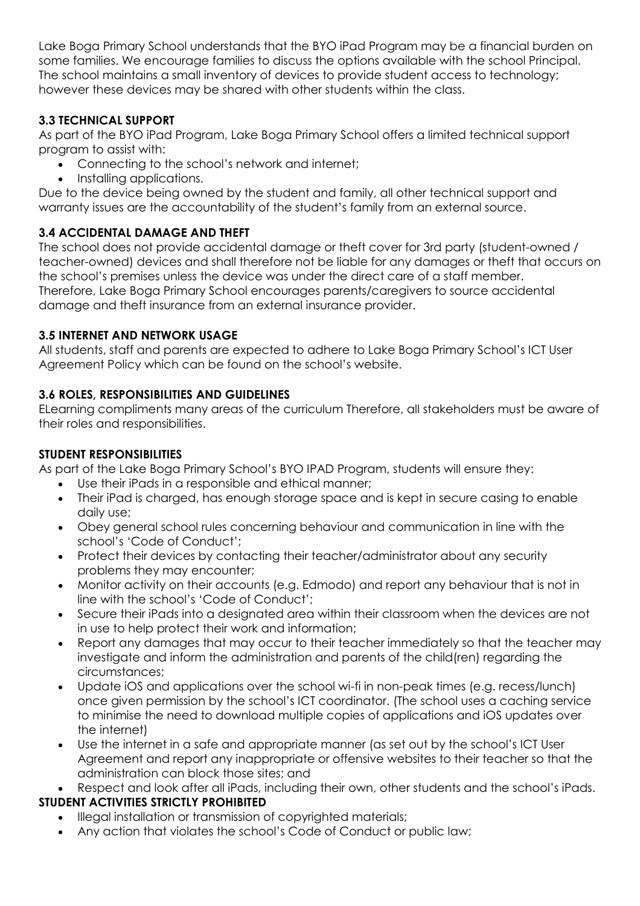Lake Boga Primary School understands that the BYO iPad Program may be a financial burden on some families. We encourage families to discuss the options available with the school Principal. The school maintains a small inventory of devices to provide student access to technology; however these devices may be shared with other students within the class.

## **3.3 TECHNICAL SUPPORT**

As part of the BYO iPad Program, Lake Boga Primary School offers a limited technical support program to assist with:

- Connecting to the school's network and internet;
- Installing applications.

Due to the device being owned by the student and family, all other technical support and warranty issues are the accountability of the student's family from an external source.

# **3.4 ACCIDENTAL DAMAGE AND THEFT**

The school does not provide accidental damage or theft cover for 3rd party (student-owned / teacher-owned) devices and shall therefore not be liable for any damages or theft that occurs on the school's premises unless the device was under the direct care of a staff member. Therefore, Lake Boga Primary School encourages parents/caregivers to source accidental damage and theft insurance from an external insurance provider.

## **3.5 INTERNET AND NETWORK USAGE**

All students, staff and parents are expected to adhere to Lake Boga Primary School's ICT User Agreement Policy which can be found on the school's website.

# **3.6 ROLES, RESPONSIBILITIES AND GUIDELINES**

ELearning compliments many areas of the curriculum Therefore, all stakeholders must be aware of their roles and responsibilities.

### **STUDENT RESPONSIBILITIES**

As part of the Lake Boga Primary School's BYO IPAD Program, students will ensure they:

- Use their iPads in a responsible and ethical manner;
- Their iPad is charged, has enough storage space and is kept in secure casing to enable daily use;
- Obey general school rules concerning behaviour and communication in line with the school's 'Code of Conduct';
- Protect their devices by contacting their teacher/administrator about any security problems they may encounter;
- Monitor activity on their accounts (e.g. Edmodo) and report any behaviour that is not in line with the school's 'Code of Conduct';
- Secure their iPads into a designated area within their classroom when the devices are not in use to help protect their work and information;
- Report any damages that may occur to their teacher immediately so that the teacher may investigate and inform the administration and parents of the child(ren) regarding the circumstances;
- Update iOS and applications over the school wi-fi in non-peak times (e.g. recess/lunch) once given permission by the school's ICT coordinator. (The school uses a caching service to minimise the need to download multiple copies of applications and iOS updates over the internet)
- Use the internet in a safe and appropriate manner (as set out by the school's ICT User Agreement and report any inappropriate or offensive websites to their teacher so that the administration can block those sites; and
- Respect and look after all iPads, including their own, other students and the school's iPads.

# **STUDENT ACTIVITIES STRICTLY PROHIBITED**

- Illegal installation or transmission of copyrighted materials;
- Any action that violates the school's Code of Conduct or public law;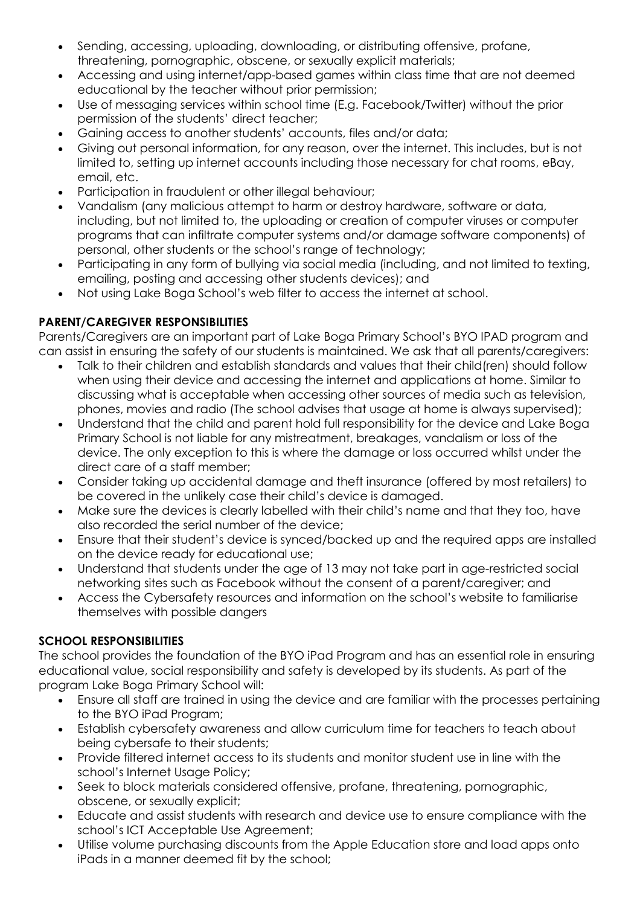- Sending, accessing, uploading, downloading, or distributing offensive, profane, threatening, pornographic, obscene, or sexually explicit materials;
- Accessing and using internet/app-based games within class time that are not deemed educational by the teacher without prior permission;
- Use of messaging services within school time (E.g. Facebook/Twitter) without the prior permission of the students' direct teacher;
- Gaining access to another students' accounts, files and/or data;
- Giving out personal information, for any reason, over the internet. This includes, but is not limited to, setting up internet accounts including those necessary for chat rooms, eBay, email, etc.
- Participation in fraudulent or other illegal behaviour;
- Vandalism (any malicious attempt to harm or destroy hardware, software or data, including, but not limited to, the uploading or creation of computer viruses or computer programs that can infiltrate computer systems and/or damage software components) of personal, other students or the school's range of technology;
- Participating in any form of bullying via social media (including, and not limited to texting, emailing, posting and accessing other students devices); and
- Not using Lake Boga School's web filter to access the internet at school.

# **PARENT/CAREGIVER RESPONSIBILITIES**

Parents/Caregivers are an important part of Lake Boga Primary School's BYO IPAD program and can assist in ensuring the safety of our students is maintained. We ask that all parents/caregivers:

- Talk to their children and establish standards and values that their child(ren) should follow when using their device and accessing the internet and applications at home. Similar to discussing what is acceptable when accessing other sources of media such as television, phones, movies and radio (The school advises that usage at home is always supervised);
- Understand that the child and parent hold full responsibility for the device and Lake Boga Primary School is not liable for any mistreatment, breakages, vandalism or loss of the device. The only exception to this is where the damage or loss occurred whilst under the direct care of a staff member;
- Consider taking up accidental damage and theft insurance (offered by most retailers) to be covered in the unlikely case their child's device is damaged.
- Make sure the devices is clearly labelled with their child's name and that they too, have also recorded the serial number of the device;
- Ensure that their student's device is synced/backed up and the required apps are installed on the device ready for educational use;
- Understand that students under the age of 13 may not take part in age-restricted social networking sites such as Facebook without the consent of a parent/caregiver; and
- Access the Cybersafety resources and information on the school's website to familiarise themselves with possible dangers

#### **SCHOOL RESPONSIBILITIES**

The school provides the foundation of the BYO iPad Program and has an essential role in ensuring educational value, social responsibility and safety is developed by its students. As part of the program Lake Boga Primary School will:

- Ensure all staff are trained in using the device and are familiar with the processes pertaining to the BYO iPad Program;
- Establish cybersafety awareness and allow curriculum time for teachers to teach about being cybersafe to their students;
- Provide filtered internet access to its students and monitor student use in line with the school's Internet Usage Policy;
- Seek to block materials considered offensive, profane, threatening, pornographic, obscene, or sexually explicit;
- Educate and assist students with research and device use to ensure compliance with the school's ICT Acceptable Use Agreement;
- Utilise volume purchasing discounts from the Apple Education store and load apps onto iPads in a manner deemed fit by the school;